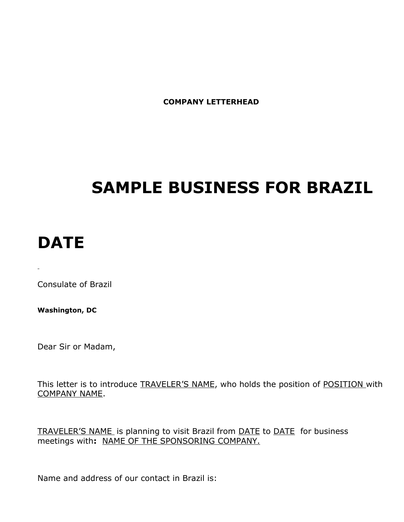**COMPANY LETTERHEAD**

# **SAMPLE BUSINESS FOR BRAZIL**

## **DATE**

 $\mathbf{r}$ 

Consulate of Brazil

**Washington, DC**

Dear Sir or Madam,

This letter is to introduce **TRAVELER'S NAME**, who holds the position of **POSITION** with COMPANY NAME.

TRAVELER'S NAME is planning to visit Brazil from DATE to DATE for business meetings with**:** NAME OF THE SPONSORING COMPANY.

Name and address of our contact in Brazil is: